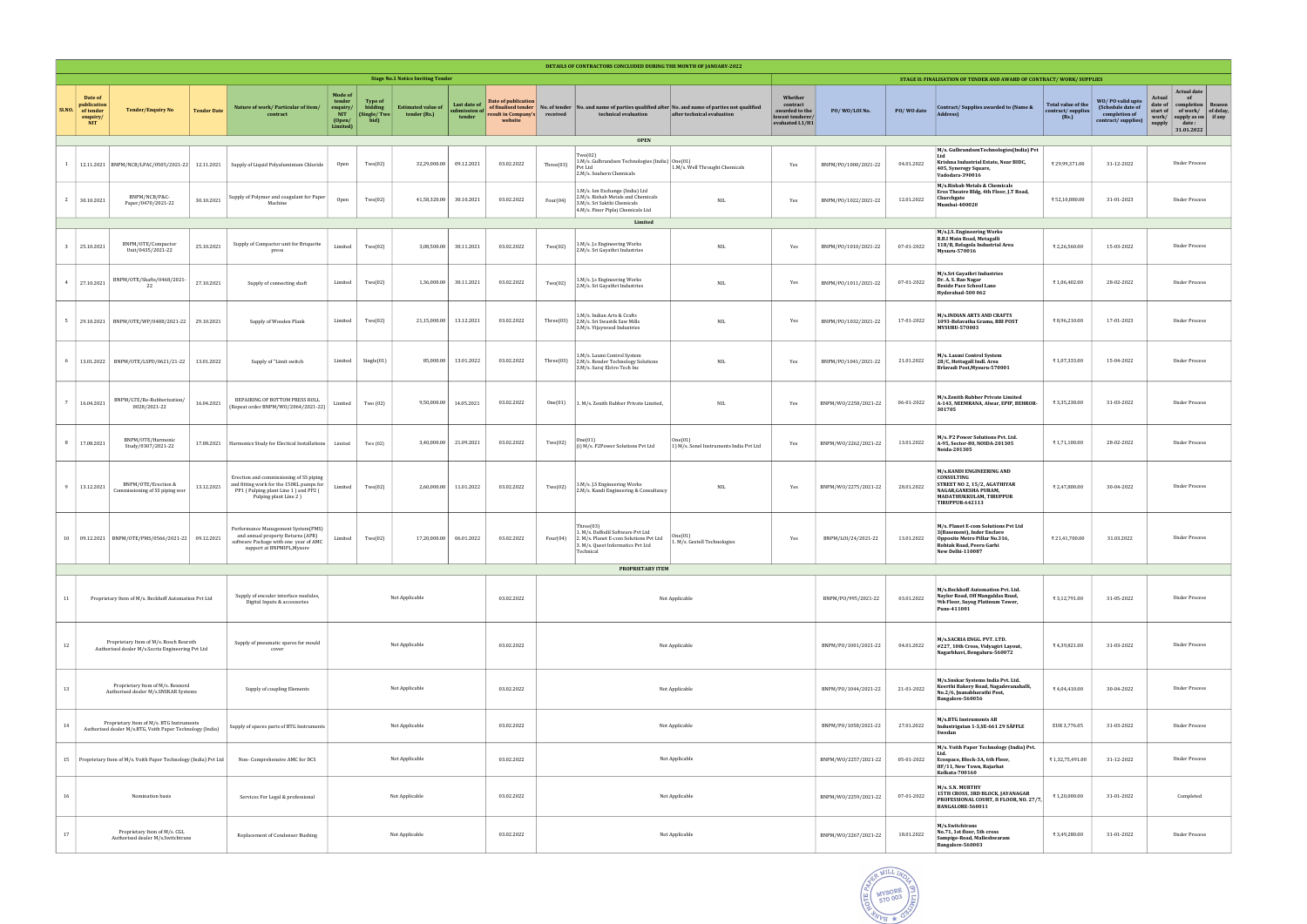|        | <b>DETAILS OF CONTRACTORS CONCLUDED DURING THE MONTH OF JANUARY-2022</b>                                                                           |                                                                                                         |                    |                                                                                                                                                      |                                                                   |                                                  |                                           |                                         |                                                                              |                           |                                                                                                                                            |                                                                                                     |                                                                              |                      |                                                                                                                                |                                                                                                                                                             |                                                  |                                                                              |                                                                                                                                                                                 |
|--------|----------------------------------------------------------------------------------------------------------------------------------------------------|---------------------------------------------------------------------------------------------------------|--------------------|------------------------------------------------------------------------------------------------------------------------------------------------------|-------------------------------------------------------------------|--------------------------------------------------|-------------------------------------------|-----------------------------------------|------------------------------------------------------------------------------|---------------------------|--------------------------------------------------------------------------------------------------------------------------------------------|-----------------------------------------------------------------------------------------------------|------------------------------------------------------------------------------|----------------------|--------------------------------------------------------------------------------------------------------------------------------|-------------------------------------------------------------------------------------------------------------------------------------------------------------|--------------------------------------------------|------------------------------------------------------------------------------|---------------------------------------------------------------------------------------------------------------------------------------------------------------------------------|
|        | <b>Stage No.1 Notice Inviting Tender</b>                                                                                                           |                                                                                                         |                    |                                                                                                                                                      |                                                                   |                                                  |                                           |                                         |                                                                              |                           | STAGE II: FINALISATION OF TENDER AND AWARD OF CONTRACT/WORK/SUPPLIES                                                                       |                                                                                                     |                                                                              |                      |                                                                                                                                |                                                                                                                                                             |                                                  |                                                                              |                                                                                                                                                                                 |
| SI.NO. | Date of<br>publication<br>of tender<br>enquiry/<br><b>NIT</b>                                                                                      | <b>Tender/Enquiry No</b>                                                                                | <b>Tender Date</b> | Nature of work/ Particular of item/<br>contract                                                                                                      | Mode of<br>tender<br>enquiry/<br><b>NIT</b><br>(Open/<br>Limited) | <b>Type of</b><br>bidding<br>(Single/Two<br>bid) | <b>Estimated value of</b><br>tender (Rs.) | Last date of<br>submission of<br>tender | Date of publication<br>of finalised tender<br>result in Company's<br>website | No. of tender<br>received | No. and<br>technical evaluation                                                                                                            | name of parties qualified after No. and name of parties not qualified<br>after technical evaluation | Whether<br>contract<br>awarded to the<br>lowest tenderer/<br>evaluated L1/H1 | PO/WO/LOI No.        | PO/WO date                                                                                                                     | Contract/Supplies awarded to (Name &<br><b>Address</b>                                                                                                      | Total value of the<br>contract/supplies<br>(Rs.) | WO/PO valid upto<br>(Schedule date of<br>completion of<br>contract/supplies) | <b>Actual date</b><br>Actual<br>of<br>date of $\vert$<br>completion<br>Reason<br>of work/ of delay<br>start of<br>work/<br>supply as on if any<br>supply<br>date:<br>31.01.2022 |
|        |                                                                                                                                                    |                                                                                                         |                    |                                                                                                                                                      |                                                                   |                                                  |                                           |                                         |                                                                              |                           | <b>OPEN</b>                                                                                                                                |                                                                                                     |                                                                              |                      |                                                                                                                                | M/s. GulbrandsenTechnologies (India) Pvt                                                                                                                    |                                                  |                                                                              |                                                                                                                                                                                 |
|        |                                                                                                                                                    | 12.11.2021   BNPM/NCB/LPAC/0505/2021-22   12.11.2021                                                    |                    | Supply of Liquid Polyaluminium Chloride                                                                                                              | Open                                                              | Two(02)                                          | 32,29,000.00                              | 09.12.2021                              | 03.02.2022                                                                   | Three $(03)$              | Two(02)<br>1.M/s. Gulbrandsen Technologies (India)<br>Pvt Ltd<br>2.M/s. Souhern Chemicals                                                  | One(01)<br>1.M/s. Well Throught Chemicals                                                           | Yes                                                                          | BNPM/P0/1000/2021-22 | 04.01.2022                                                                                                                     | Krishna Industrial Estate, Near BIDC,<br>405, Syneregy Square,<br>Vadodara-390016                                                                           | ₹ 29,99,371.00                                   | 31-12-2022                                                                   | Under Process                                                                                                                                                                   |
|        | 2 30.10.2021                                                                                                                                       | BNPM/NCB/P&C-<br>Paper/0470/2021-22                                                                     | 30.10.2021         | Supply of Polymer and coagulant for Paper<br>Machine                                                                                                 | Open                                                              | Two(02)                                          | 41,58,320.00                              | 30.10.2021                              | 03.02.2022                                                                   | Four(04)                  | 1.M/s. Ion Exchange (India) Ltd<br>2.M/s. Rishab Metals and Chemicals<br>3.M/s. Sri Sakthi Chemicals<br>4.M/s. Finor Piplaj Chemicals Ltd  | <b>NIL</b>                                                                                          | Yes                                                                          | BNPM/P0/1022/2021-22 | 12.01.2022                                                                                                                     | M/s.Rishab Metals & Chemicals<br>Eros Theatre Bldg, 4th Floor, J.T Road,<br>Churchgate<br>Mumbai-400020                                                     | ₹52,10,880.00                                    | 31-01-2023                                                                   | <b>Under Process</b>                                                                                                                                                            |
|        |                                                                                                                                                    |                                                                                                         |                    |                                                                                                                                                      |                                                                   |                                                  |                                           |                                         |                                                                              |                           | Limited                                                                                                                                    |                                                                                                     |                                                                              |                      |                                                                                                                                |                                                                                                                                                             |                                                  |                                                                              |                                                                                                                                                                                 |
|        | 25.10.2021                                                                                                                                         | BNPM/OTE/Compactor<br>Unit/0435/2021-22                                                                 | 25.10.2021         | Supply of Compactor unit for Briquette<br>press                                                                                                      | Limited                                                           | Two(02)                                          | 3,08,500.00                               | 30.11.2021                              | 03.02.2022                                                                   | Two(02)                   | 1.M/s. J.s Engineering Works<br>2.M/s. Sri Gayathri Industries                                                                             | <b>NIL</b>                                                                                          | Yes                                                                          | BNPM/P0/1010/2021-22 | 07-01-2022                                                                                                                     | M/s.J.S. Engineering Works<br>R.B.I Main Road, Metagalli<br>118/B, Belagola Industrial Area<br><b>Mysuru-570016</b>                                         | ₹ 2,26,560.00                                    | 15-03-2022                                                                   | <b>Under Process</b>                                                                                                                                                            |
|        | 4 27.10.2021                                                                                                                                       | BNPM/OTE/Shafts/0468/2021<br>22                                                                         | 27.10.2021         | Supply of connecting shaft                                                                                                                           | Limited                                                           | Two(02)                                          | 1,36,000.00                               | 30.11.2021                              | 03.02.2022                                                                   | Two(02)                   | 1.M/s. J.s Engineering Works<br>2.M/s. Sri Gayathri Industries                                                                             | <b>NIL</b>                                                                                          | Yes                                                                          | BNPM/P0/1011/2021-22 | 07-01-2022                                                                                                                     | M/s.Sri Gayathri Industries<br>Dr. A. S. Rao Nagar<br><b>Beside Pace School Lane</b><br>Hyderabad-500 062                                                   | ₹1,06,402.00                                     | 28-02-2022                                                                   | <b>Under Process</b>                                                                                                                                                            |
|        |                                                                                                                                                    | 5 29.10.2021 BNPM/OTE/WP/0488/2021-22                                                                   | 29.10.2021         | Supply of Wooden Plank                                                                                                                               | Limited                                                           | Two(02)                                          | 21,15,000.00                              | 13.12.2021                              | 03.02.2022                                                                   | Three(03)                 | 1.M/s. Indian Arts & Crafts<br>2.M/s. Sri Swastik Saw Mills<br>3.M/s. Vijaywood Industries                                                 | <b>NIL</b>                                                                                          | Yes                                                                          | BNPM/P0/1032/2021-22 | 17-01-2022                                                                                                                     | <b>M/s.INDIAN ARTS AND CRAFTS</b><br>1093-Belavatha Grama, RBI POST<br><b>MYSURU-570003</b>                                                                 | ₹8,96,210.00                                     | 17-01-2023                                                                   | Under Process                                                                                                                                                                   |
|        |                                                                                                                                                    | 6 13.01.2022 BNPM/OTE/LSPD/0621/21-22                                                                   | 13.01.2022         | Supply of "Limit switch                                                                                                                              | Limited                                                           | Single(01)                                       | 85,000.00                                 | 13.01.2022                              | 03.02.2022                                                                   | Three(03)                 | 1.M/s. Laxmi Control System<br>2.M/s. Render Technology Solutions<br>3.M/s. Suraj Elctro Tech Inc                                          | NIL                                                                                                 | Yes                                                                          | BNPM/P0/1041/2021-22 | 21.01.2022                                                                                                                     | M/s. Laxmi Control System<br>28/C, Hottagall Indl. Area<br>Brlavadi Post, Mysuru-570001                                                                     | ₹1,07,333.00                                     | 15-04-2022                                                                   | <b>Under Process</b>                                                                                                                                                            |
|        | 16.04.2021                                                                                                                                         | BNPM/LTE/Re-Rubberization/<br>0028/2021-22                                                              | 16.04.2021         | REPAIRING OF BOTTOM PRESS ROLL<br>(Repeat order BNPM/WO/2064/2021-22)                                                                                | Limited                                                           | Two (02)                                         | 9,50,000.00                               | 14.05.2021                              | 03.02.2022                                                                   | One(01)                   | 1. M/s. Zenith Rubber Private Limited,                                                                                                     | <b>NIL</b>                                                                                          | Yes                                                                          | BNPM/W0/2258/2021-22 | 06-01-2022                                                                                                                     | M/s.Zenith Rubber Private Limited<br>A-143, NEEMRANA, Alwar, EPIP, BEHROR-<br>301705                                                                        | ₹ 3,35,238.00                                    | 31-03-2022                                                                   | <b>Under Process</b>                                                                                                                                                            |
|        | 8 17.08.2021                                                                                                                                       | BNPM/OTE/Harmonic<br>Study/0307/2021-22                                                                 | 17.08.2021         | Harmonics Study for Electical Installations   Limited                                                                                                |                                                                   | Two (02)                                         | 3,40,000.00                               | 21.09.2021                              | 03.02.2022                                                                   | Two(02)                   | (i) M/s. P2Power Solutions Pvt Ltd                                                                                                         | ne(01)<br>1) M/s. Sonel Instruments India Pvt Ltd                                                   | Yes                                                                          | BNPM/W0/2262/2021-22 | 13.01.2022                                                                                                                     | M/s. P2 Power Solutions Pvt. Ltd.<br>A-95, Sector-80, NOIDA-201305<br>Noida-201305                                                                          | ₹1,71,100.00                                     | 28-02-2022                                                                   | Under Process                                                                                                                                                                   |
|        | 9 13.12.2021                                                                                                                                       | BNPM/OTE/Erection &<br>Commissioning of SS piping wor                                                   | 13.12.2021         | Erection and commissioning of SS piping<br>and fitting work for the 150KL pumps for<br>PP1 (Pulping plant Line 1) and PP2 (<br>Pulping plant Line 2) | Limited                                                           | Two(02)                                          | 2,60,000.00                               | 11.01.2022                              | 03.02.2022                                                                   | Two(02)                   | 1.M/s. J.S Engineering Works<br>2.M/s. Kandi Engineering & Consultancy                                                                     | <b>NIL</b>                                                                                          | Yes                                                                          | BNPM/W0/2275/2021-22 | 28.01.2022                                                                                                                     | M/s.KANDI ENGINEERING AND<br><b>CONSULTING</b><br>STREET NO 2, 15/2, AGATHIYAR<br>NAGAR.GANESHA PURAM.<br>MADATHUKKULAM, TIRUPPUR<br><b>TIRUPPUR-642113</b> | ₹2,47,800.00                                     | 30-04-2022                                                                   | <b>Under Process</b>                                                                                                                                                            |
|        |                                                                                                                                                    | 10 09.12.2021 BNPM/OTE/PMS/0566/2021-22 09.12.2021                                                      |                    | Performance Management System(PMS)<br>and annual property Returns (APR)<br>software Package with one year of AMC<br>support at BNPMIPL, Mysore       | Limited                                                           | Two(02)                                          |                                           |                                         | 03.02.2022                                                                   | Four(04)                  | Three(03)<br>1. M/s. Daffodil Software Pvt Ltd<br>2. M/s. Planet E-com Solutions Pvt Ltd<br>3. M/s. Quest Informatics Pvt Ltd<br>Technical | One(01)<br>1. M/s. Gestell Technologies                                                             | Yes                                                                          | BNPM/L0I/24/2021-22  | 13.01.2022                                                                                                                     | M/s. Planet E-com Solutions Pvt Ltd<br>3(Basement), Inder Enclave<br>Opposite Metro Pillar No.316,<br>Rohtak Road, Peera Garhi<br>  New Delhi-110087        | ₹ 21,41,700.00                                   | 31.03.2022                                                                   | Under Process                                                                                                                                                                   |
|        |                                                                                                                                                    |                                                                                                         |                    |                                                                                                                                                      |                                                                   |                                                  |                                           |                                         |                                                                              |                           | <b>PROPRIETARY ITEM</b>                                                                                                                    |                                                                                                     |                                                                              |                      |                                                                                                                                |                                                                                                                                                             |                                                  |                                                                              |                                                                                                                                                                                 |
| 11     | Supply of encoder interface modules,<br>Proprietary Item of M/s. Beckhoff Automation Pvt Ltd<br>Digital Inputs & accessories                       |                                                                                                         |                    |                                                                                                                                                      |                                                                   | Not Applicable                                   |                                           |                                         | 03.02.2022                                                                   | Not Applicable            |                                                                                                                                            |                                                                                                     |                                                                              | BNPM/P0/995/2021-22  | 03.01.2022                                                                                                                     | M/s.Beckhoff Automation Pvt. Ltd.<br>Naylor Road, Off Mangaldas Road,<br>9th Floor, Suyog Platinum Tower,<br>Pune-411001                                    | ₹3,12,791.00                                     | 31-05-2022                                                                   | Under Process                                                                                                                                                                   |
| 12     | Proprietary Item of M/s. Bosch Rexroth<br>Supply of pneumatic spares for mould<br>Authorised dealer M/s.Sacria Engineering Pvt Ltd                 |                                                                                                         |                    |                                                                                                                                                      |                                                                   | Not Applicable                                   |                                           |                                         | 03.02.2022                                                                   | Not Applicable            |                                                                                                                                            |                                                                                                     |                                                                              | BNPM/PO/1001/2021-22 | 04.01.2022                                                                                                                     | M/s.SACRIA ENGG. PVT. LTD.<br>#227, 10th Cross, Vidyagiri Layout,<br>Nagarbhavi, Bengaluru-560072                                                           | ₹4,39,821.00                                     | 31-03-2022                                                                   | <b>Under Process</b>                                                                                                                                                            |
| 13     |                                                                                                                                                    | Proprietary Item of M/s. Rexnord<br>Supply of coupling Elements<br>Authorised dealer M/s.SNSKAR Systems |                    |                                                                                                                                                      |                                                                   |                                                  | Not Applicable                            |                                         |                                                                              | Not Applicable            |                                                                                                                                            |                                                                                                     | BNPM/P0/1044/2021-22                                                         | 21-01-2022           | M/s.Snskar Systems India Pvt. Ltd.<br>Keerthi Bakery Road, Nagadevanahalli,<br>No.2/6, Jnanabharathi Post,<br>Bangalore-560056 | ₹4,04,410.00                                                                                                                                                | 30-04-2022                                       | Under Process                                                                |                                                                                                                                                                                 |
| 14     | Proprietary Item of M/s. BTG Instruments<br>Supply of spares parts of BTG Instruments<br>Authorised dealer M/s.BTG, Voith Paper Technology (India) |                                                                                                         |                    |                                                                                                                                                      |                                                                   | Not Applicable                                   |                                           |                                         | 03.02.2022                                                                   | Not Applicable            |                                                                                                                                            |                                                                                                     |                                                                              | BNPM/PO/1058/2021-22 | 27.01.2022                                                                                                                     | M/s.BTG Instruments AB<br>Industrigatan 1-3, SE-661 29 SÄFFLE<br>Swedan                                                                                     | EUR 3,776.05                                     | 31-03-2022                                                                   | Under Process                                                                                                                                                                   |
|        | 15 Proprietary Item of M/s. Voith Paper Technology (India) Pvt Ltd<br>Non- Comprehensive AMC for DCS                                               |                                                                                                         |                    |                                                                                                                                                      |                                                                   | Not Applicable                                   |                                           |                                         | 03.02.2022                                                                   | Not Applicable            |                                                                                                                                            |                                                                                                     |                                                                              | BNPM/W0/2257/2021-22 | 05-01-2022                                                                                                                     | M/s. Voith Paper Technology (India) Pvt.<br>Ecospace, Block-3A, 6th Floor,<br>IIF/11, New Town, Rajarhat<br>Kolkata-700160                                  | ₹1,32,75,491.00                                  | 31-12-2022                                                                   | <b>Under Process</b>                                                                                                                                                            |
| 16     |                                                                                                                                                    | Nomination basis                                                                                        |                    | Services For Legal & professional                                                                                                                    |                                                                   |                                                  | Not Applicable                            |                                         | 03.02.2022                                                                   |                           |                                                                                                                                            | Not Applicable                                                                                      |                                                                              | BNPM/W0/2259/2021-22 | 07-01-2022                                                                                                                     | M/s. S.N. MURTHY<br>15TH CROSS, 3RD BLOCK, JAYANAGAR<br>PROFESSIONAL COURT, II FLOOR, NO. 27/7,<br>BANGALORE-560011                                         | ₹1,20,000.00                                     | 31-01-2022                                                                   | Completed                                                                                                                                                                       |
| 17     |                                                                                                                                                    | Proprietary Item of M/s. CGL<br>Authorised dealer M/s.Switchtrans                                       |                    | Replacement of Condenser Bushing                                                                                                                     |                                                                   |                                                  | Not Applicable                            |                                         | 03.02.2022                                                                   |                           |                                                                                                                                            | Not Applicable                                                                                      |                                                                              | BNPM/W0/2267/2021-22 | 18.01.2022                                                                                                                     | M/s.Switchtrans<br>No.71, 1st floor, 5th cross<br>Sampige-Road, Malleshwaram<br>Bangalore-560003                                                            | ₹3,49,280.00                                     | 31-01-2022                                                                   | <b>Under Process</b>                                                                                                                                                            |